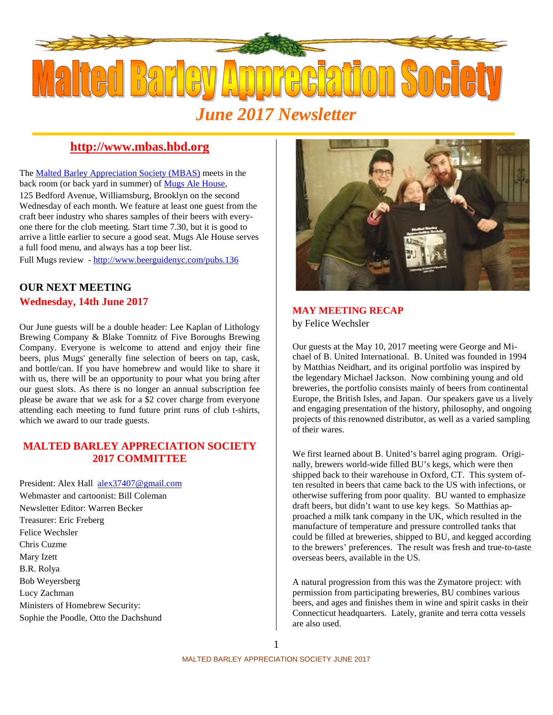

## **http://www.mbas.hbd.org**

The Malted Barley Appreciation Society (MBAS) meets in the back room (or back yard in summer) of Mugs Ale House, 125 Bedford Avenue, Williamsburg, Brooklyn on the second Wednesday of each month. We feature at least one guest from the craft beer industry who shares samples of their beers with everyone there for the club meeting. Start time 7.30, but it is good to arrive a little earlier to secure a good seat. Mugs Ale House serves a full food menu, and always has a top beer list.

Full Mugs review - http://www.beerguidenyc.com/pubs.136

## **OUR NEXT MEETING Wednesday, 14th June 2017**

Our June guests will be a double header: Lee Kaplan of Lithology Brewing Company & Blake Tomnitz of Five Boroughs Brewing Company. Everyone is welcome to attend and enjoy their fine beers, plus Mugs' generally fine selection of beers on tap, cask, and bottle/can. If you have homebrew and would like to share it with us, there will be an opportunity to pour what you bring after our guest slots. As there is no longer an annual subscription fee please be aware that we ask for a \$2 cover charge from everyone attending each meeting to fund future print runs of club t-shirts, which we award to our trade guests.

#### **MALTED BARLEY APPRECIATION SOCIETY 2017 COMMITTEE**

President: Alex Hall alex37407@gmail.com Webmaster and cartoonist: Bill Coleman Newsletter Editor: Warren Becker Treasurer: Eric Freberg Felice Wechsler Chris Cuzme Mary Izett B.R. Rolya Bob Weyersberg Lucy Zachman Ministers of Homebrew Security: Sophie the Poodle, Otto the Dachshund



#### **MAY MEETING RECAP**

by Felice Wechsler

Our guests at the May 10, 2017 meeting were George and Michael of B. United International. B. United was founded in 1994 by Matthias Neidhart, and its original portfolio was inspired by the legendary Michael Jackson. Now combining young and old breweries, the portfolio consists mainly of beers from continental Europe, the British Isles, and Japan. Our speakers gave us a lively and engaging presentation of the history, philosophy, and ongoing projects of this renowned distributor, as well as a varied sampling of their wares.

We first learned about B. United's barrel aging program. Originally, brewers world-wide filled BU's kegs, which were then shipped back to their warehouse in Oxford, CT. This system often resulted in beers that came back to the US with infections, or otherwise suffering from poor quality. BU wanted to emphasize draft beers, but didn't want to use key kegs. So Matthias approached a milk tank company in the UK, which resulted in the manufacture of temperature and pressure controlled tanks that could be filled at breweries, shipped to BU, and kegged according to the brewers' preferences. The result was fresh and true-to-taste overseas beers, available in the US.

A natural progression from this was the Zymatore project: with permission from participating breweries, BU combines various beers, and ages and finishes them in wine and spirit casks in their Connecticut headquarters. Lately, granite and terra cotta vessels are also used.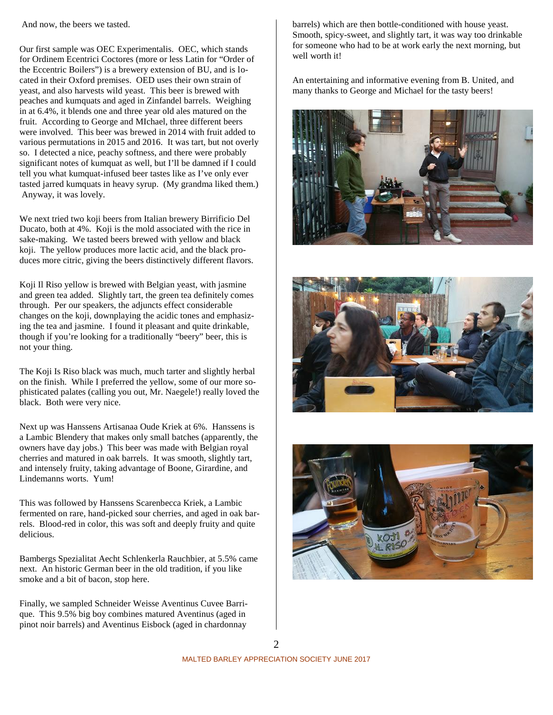And now, the beers we tasted.

Our first sample was OEC Experimentalis. OEC, which stands for Ordinem Ecentrici Coctores (more or less Latin for "Order of the Eccentric Boilers") is a brewery extension of BU, and is located in their Oxford premises. OED uses their own strain of yeast, and also harvests wild yeast. This beer is brewed with peaches and kumquats and aged in Zinfandel barrels. Weighing in at 6.4%, it blends one and three year old ales matured on the fruit. According to George and MIchael, three different beers were involved. This beer was brewed in 2014 with fruit added to various permutations in 2015 and 2016. It was tart, but not overly so. I detected a nice, peachy softness, and there were probably significant notes of kumquat as well, but I'll be damned if I could tell you what kumquat-infused beer tastes like as I've only ever tasted jarred kumquats in heavy syrup. (My grandma liked them.) Anyway, it was lovely.

We next tried two koji beers from Italian brewery Birrificio Del Ducato, both at 4%. Koji is the mold associated with the rice in sake-making. We tasted beers brewed with yellow and black koji. The yellow produces more lactic acid, and the black produces more citric, giving the beers distinctively different flavors.

Koji Il Riso yellow is brewed with Belgian yeast, with jasmine and green tea added. Slightly tart, the green tea definitely comes through. Per our speakers, the adjuncts effect considerable changes on the koji, downplaying the acidic tones and emphasizing the tea and jasmine. I found it pleasant and quite drinkable, though if you're looking for a traditionally "beery" beer, this is not your thing.

The Koji Is Riso black was much, much tarter and slightly herbal on the finish. While I preferred the yellow, some of our more sophisticated palates (calling you out, Mr. Naegele!) really loved the black. Both were very nice.

Next up was Hanssens Artisanaa Oude Kriek at 6%. Hanssens is a Lambic Blendery that makes only small batches (apparently, the owners have day jobs.) This beer was made with Belgian royal cherries and matured in oak barrels. It was smooth, slightly tart, and intensely fruity, taking advantage of Boone, Girardine, and Lindemanns worts. Yum!

This was followed by Hanssens Scarenbecca Kriek, a Lambic fermented on rare, hand-picked sour cherries, and aged in oak barrels. Blood-red in color, this was soft and deeply fruity and quite delicious.

Bambergs Spezialitat Aecht Schlenkerla Rauchbier, at 5.5% came next. An historic German beer in the old tradition, if you like smoke and a bit of bacon, stop here.

Finally, we sampled Schneider Weisse Aventinus Cuvee Barrique. This 9.5% big boy combines matured Aventinus (aged in pinot noir barrels) and Aventinus Eisbock (aged in chardonnay

barrels) which are then bottle-conditioned with house yeast. Smooth, spicy-sweet, and slightly tart, it was way too drinkable for someone who had to be at work early the next morning, but well worth it!

An entertaining and informative evening from B. United, and many thanks to George and Michael for the tasty beers!